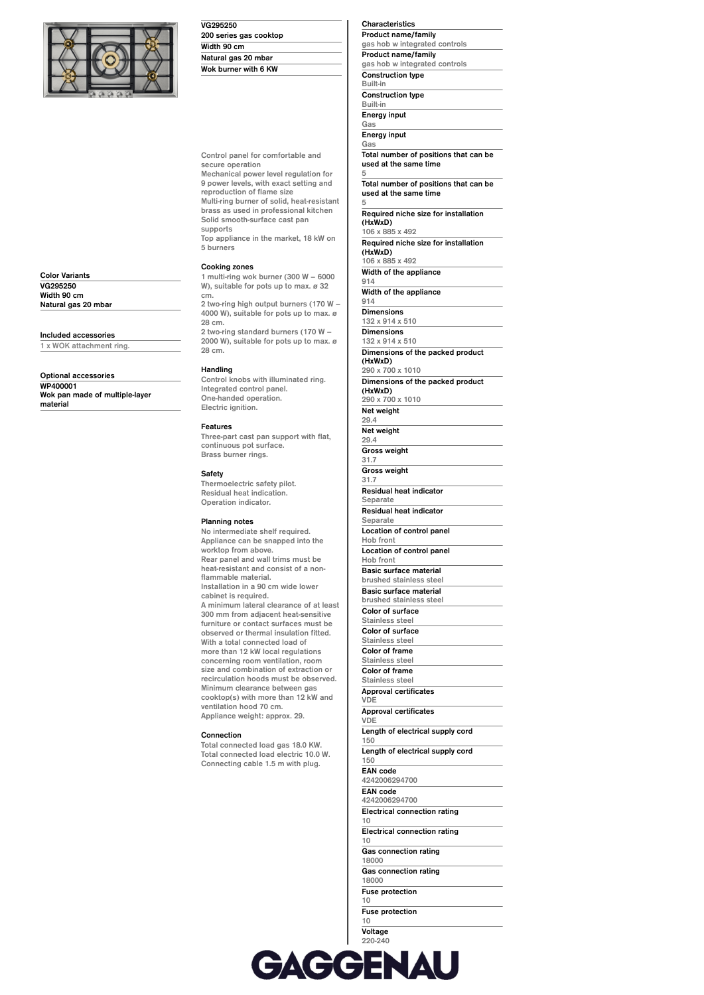

**Color Variants VG295250 Width 90 cm Natural gas 20 mbar**

**Included accessories 1 x WOK attachment ring.**

**Optional accessories WP400001**

**material**

**Wok pan made of multiple-layer**

| VG295250               |  |
|------------------------|--|
| 200 series gas cooktop |  |
| Width 90 cm            |  |
| Natural gas 20 mbar    |  |
| Wok burner with 6 KW   |  |
|                        |  |

**Control panel for comfortable and secure operation Mechanical power level regulation for 9 power levels, with exact setting and reproduction of flame size Multi-ring burner of solid, heat-resistant brass as used in professional kitchen Solid smooth-surface cast pan supports**

**Top appliance in the market, 18 kW on 5 burners**

### **Cooking zones**

**1 multi-ring wok burner (300 W – 6000 W), suitable for pots up to max. ø 32 cm. 2 two-ring high output burners (170 W –**

**4000 W), suitable for pots up to max. ø 28 cm. 2 two-ring standard burners (170 W –**

**2000 W), suitable for pots up to max. ø 28 cm.**

#### **Handling**

**Control knobs with illuminated ring. Integrated control panel. One-handed operation. Electric ignition.**

#### **Features**

**Three-part cast pan support with flat, continuous pot surface. Brass burner rings.**

## **Safety**

**Thermoelectric safety pilot. Residual heat indication. Operation indicator.**

## **Planning notes**

**No intermediate shelf required. Appliance can be snapped into the worktop from above. Rear panel and wall trims must be heat-resistant and consist of a nonflammable material. Installation in a 90 cm wide lower cabinet is required. A minimum lateral clearance of at least 300 mm from adjacent heat-sensitive furniture or contact surfaces must be observed or thermal insulation fitted. With a total connected load of more than 12 kW local regulations concerning room ventilation, room size and combination of extraction or recirculation hoods must be observed. Minimum clearance between gas cooktop(s) with more than 12 kW and ventilation hood 70 cm. Appliance weight: approx. 29.**

# **Connection**

**Total connected load gas 18.0 KW. Total connected load electric 10.0 W. Connecting cable 1.5 m with plug.**

**Characteristics Product name/family**

**gas hob w integrated controls Product name/family gas hob w integrated controls Construction type Built-in Construction type Built-in**

**Energy input Gas**

**Energy input**

**Gas Total number of positions that can be used at the same time 5**

**Total number of positions that can be used at the same time**

**5 Required niche size for installation (HxWxD) 106 x 885 x 492 Required niche size for installation**

**(HxWxD)**

**106 x 885 x 492 Width of the appliance 914**

**Width of the appliance 914**

**Dimensions**

**132 x 914 x 510**

**Dimensions 132 x 914 x 510**

**Dimensions of the packed product (HxWxD) 290 x 700 x 1010**

**Dimensions of the packed product (HxWxD)**

**290 x 700 x 1010**

**Net weight 29.4 Net weight 29.4**

**Gross weight 31.7 Gross weight**

**31.7 Residual heat indicator**

**Separate**

**Residual heat indicator Separate**

**Location of control panel Hob front**

**Location of control panel Hob front** 

**Basic surface material brushed stainless steel Basic surface material**

**brushed stainless steel Color of surface**

**Stainless steel Color of surface**

**Stainless steel**

**Color of frame Stainless steel**

**Color of frame Stainless steel**

**Approval certificates VDE**

**Approval certificates VDE Length of electrical supply cord**

**150**

**Length of electrical supply cord 150**

**EAN code 4242006294700**

**EAN code 4242006294700**

**Electrical connection rating**

**10 Electrical connection rating**

**10**

**Gas connection rating 18000 Gas connection rating 18000**

**Fuse protection 10 Fuse protection**

**10 Voltage 220-240 Voltage 220-240 Frequency 50-60**